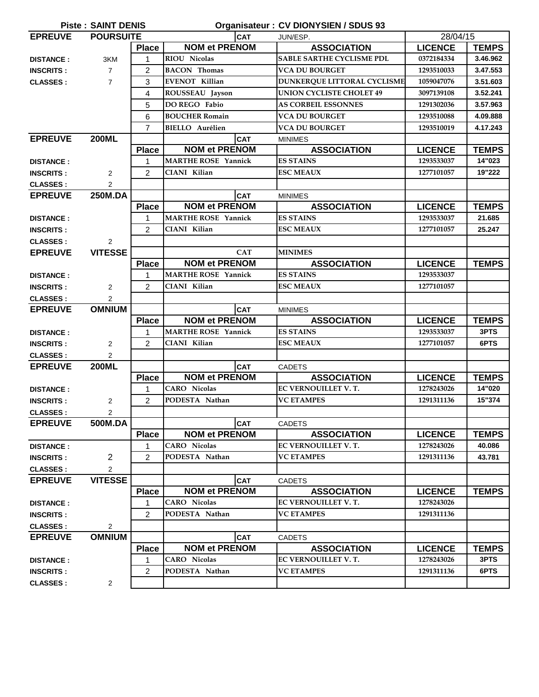| <b>Piste: SAINT DENIS</b><br>Organisateur: CV DIONYSIEN / SDUS 93 |                  |                |                              |                                  |                |              |
|-------------------------------------------------------------------|------------------|----------------|------------------------------|----------------------------------|----------------|--------------|
| <b>EPREUVE</b>                                                    | <b>POURSUITE</b> |                | CAT                          | JUN/ESP.                         | 28/04/15       |              |
|                                                                   |                  | <b>Place</b>   | <b>NOM et PRENOM</b>         | <b>ASSOCIATION</b>               | <b>LICENCE</b> | <b>TEMPS</b> |
| <b>DISTANCE:</b>                                                  | 3KM              | 1              | <b>RIOU Nicolas</b>          | <b>SABLE SARTHE CYCLISME PDL</b> | 0372184334     | 3.46.962     |
| <b>INSCRITS:</b>                                                  | $\overline{7}$   | 2              | <b>BACON</b> Thomas          | <b>VCA DU BOURGET</b>            | 1293510033     | 3.47.553     |
| <b>CLASSES:</b>                                                   | $\overline{7}$   | 3              | EVENOT Killian               | DUNKERQUE LITTORAL CYCLISME      | 1059047076     | 3.51.603     |
|                                                                   |                  | 4              | ROUSSEAU Jayson              | <b>UNION CYCLISTE CHOLET 49</b>  | 3097139108     | 3.52.241     |
|                                                                   |                  | 5              | DO REGO Fabio                | <b>AS CORBEIL ESSONNES</b>       | 1291302036     | 3.57.963     |
|                                                                   |                  | 6              | <b>BOUCHER Romain</b>        | VCA DU BOURGET                   | 1293510088     | 4.09.888     |
|                                                                   |                  | $\overline{7}$ | <b>BIELLO</b> Aurélien       | VCA DU BOURGET                   | 1293510019     | 4.17.243     |
| <b>EPREUVE</b>                                                    | <b>200ML</b>     |                | <b>CAT</b>                   | <b>MINIMES</b>                   |                |              |
|                                                                   |                  | <b>Place</b>   | <b>NOM et PRENOM</b>         | <b>ASSOCIATION</b>               | <b>LICENCE</b> | <b>TEMPS</b> |
| <b>DISTANCE:</b>                                                  |                  | 1              | <b>MARTHE ROSE Yannick</b>   | <b>ES STAINS</b>                 | 1293533037     | 14"023       |
| <b>INSCRITS:</b>                                                  | $\overline{2}$   | 2              | CIANI Kilian                 | <b>ESC MEAUX</b>                 | 1277101057     | 19"222       |
| <b>CLASSES:</b>                                                   | 2                |                |                              |                                  |                |              |
| <b>EPREUVE</b>                                                    | <b>250M.DA</b>   |                | <b>CAT</b><br><b>MINIMES</b> |                                  |                |              |
|                                                                   |                  | <b>Place</b>   | <b>NOM et PRENOM</b>         | <b>ASSOCIATION</b>               | <b>LICENCE</b> | <b>TEMPS</b> |
| <b>DISTANCE:</b>                                                  |                  | 1              | <b>MARTHE ROSE Yannick</b>   | <b>ES STAINS</b>                 | 1293533037     | 21.685       |
| <b>INSCRITS:</b>                                                  |                  | $\overline{2}$ | CIANI Kilian                 | <b>ESC MEAUX</b>                 | 1277101057     | 25.247       |
| <b>CLASSES:</b>                                                   | 2                |                |                              |                                  |                |              |
| <b>EPREUVE</b>                                                    | <b>VITESSE</b>   |                | <b>CAT</b>                   | <b>MINIMES</b>                   |                |              |
|                                                                   |                  | <b>Place</b>   | <b>NOM et PRENOM</b>         | <b>ASSOCIATION</b>               | <b>LICENCE</b> | <b>TEMPS</b> |
| <b>DISTANCE:</b>                                                  |                  | 1              | <b>MARTHE ROSE Yannick</b>   | <b>ES STAINS</b>                 | 1293533037     |              |
| <b>INSCRITS:</b>                                                  | 2                | 2              | CIANI Kilian                 | <b>ESC MEAUX</b>                 | 1277101057     |              |
| <b>CLASSES:</b>                                                   | 2                |                |                              |                                  |                |              |
| <b>EPREUVE</b>                                                    | <b>OMNIUM</b>    |                | <b>CAT</b>                   | <b>MINIMES</b>                   |                |              |
|                                                                   |                  | <b>Place</b>   | <b>NOM et PRENOM</b>         | <b>ASSOCIATION</b>               | <b>LICENCE</b> | <b>TEMPS</b> |
| <b>DISTANCE:</b>                                                  |                  | $\mathbf{1}$   | <b>MARTHE ROSE Yannick</b>   | <b>ES STAINS</b>                 | 1293533037     | 3PTS         |
| <b>INSCRITS:</b>                                                  | $\overline{2}$   | $\overline{2}$ | CIANI Kilian                 | <b>ESC MEAUX</b>                 | 1277101057     | 6PTS         |
| <b>CLASSES:</b>                                                   | 2                |                |                              |                                  |                |              |
| <b>EPREUVE</b>                                                    | <b>200ML</b>     |                | <b>CAT</b>                   | <b>CADETS</b>                    |                |              |
|                                                                   |                  | <b>Place</b>   | <b>NOM et PRENOM</b>         | <b>ASSOCIATION</b>               | <b>LICENCE</b> | <b>TEMPS</b> |
| <b>DISTANCE:</b>                                                  |                  | 1              | <b>CARO</b> Nicolas          | EC VERNOUILLET V.T.              | 1278243026     | 14"020       |
| <b>INSCRITS:</b>                                                  | 2                | $\overline{2}$ | PODESTA Nathan               | <b>VC ETAMPES</b>                | 1291311136     | 15"374       |
| <b>CLASSES:</b>                                                   | $\overline{2}$   |                |                              |                                  |                |              |
| <b>EPREUVE</b>                                                    | 500M.DA          |                | <b>CAT</b>                   | <b>CADETS</b>                    |                |              |
|                                                                   |                  | <b>Place</b>   | <b>NOM et PRENOM</b>         | <b>ASSOCIATION</b>               | <b>LICENCE</b> | <b>TEMPS</b> |
| <b>DISTANCE:</b>                                                  |                  | 1              | <b>CARO</b> Nicolas          | EC VERNOUILLET V.T.              | 1278243026     | 40.086       |
| <b>INSCRITS:</b>                                                  | $\overline{2}$   | $\overline{2}$ | PODESTA Nathan               | <b>VC ETAMPES</b>                | 1291311136     | 43.781       |
| <b>CLASSES:</b>                                                   | $\overline{2}$   |                |                              |                                  |                |              |
| <b>EPREUVE</b>                                                    | <b>VITESSE</b>   |                | <b>CAT</b>                   | <b>CADETS</b>                    |                |              |
|                                                                   |                  | <b>Place</b>   | <b>NOM et PRENOM</b>         | <b>ASSOCIATION</b>               | <b>LICENCE</b> | <b>TEMPS</b> |
| <b>DISTANCE:</b>                                                  |                  | 1              | <b>CARO</b> Nicolas          | EC VERNOUILLET V.T.              | 1278243026     |              |
| <b>INSCRITS:</b>                                                  |                  | 2              | PODESTA Nathan               | <b>VC ETAMPES</b>                | 1291311136     |              |
| <b>CLASSES:</b>                                                   | 2                |                |                              |                                  |                |              |
| <b>EPREUVE</b>                                                    | <b>OMNIUM</b>    |                | <b>CAT</b>                   | <b>CADETS</b>                    |                |              |
|                                                                   |                  | <b>Place</b>   | <b>NOM et PRENOM</b>         | <b>ASSOCIATION</b>               | <b>LICENCE</b> | <b>TEMPS</b> |
| <b>DISTANCE:</b>                                                  |                  | 1              | <b>CARO</b> Nicolas          | EC VERNOUILLET V. T.             | 1278243026     | 3PTS         |
| <b>INSCRITS:</b>                                                  |                  | 2              | PODESTA Nathan               | <b>VC ETAMPES</b>                | 1291311136     | 6PTS         |
| <b>CLASSES:</b>                                                   | $\overline{2}$   |                |                              |                                  |                |              |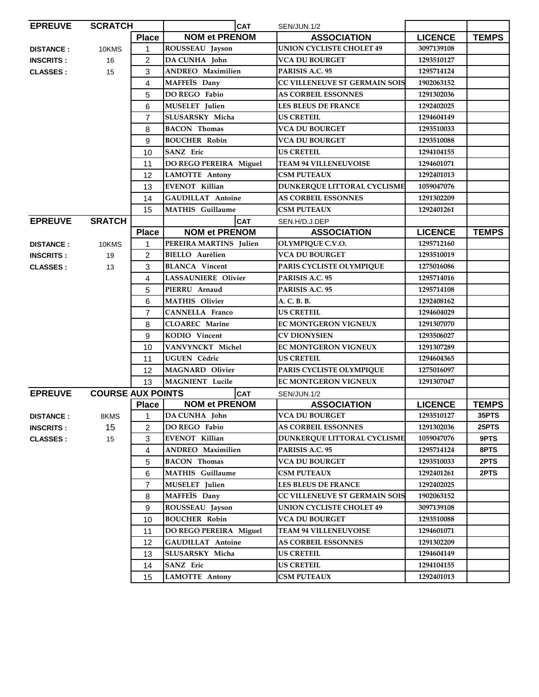| <b>EPREUVE</b>   | <b>SCRATCH</b>           |                             |                                                                  | <b>CAT</b> | SEN/JUN.1/2                          |                |              |
|------------------|--------------------------|-----------------------------|------------------------------------------------------------------|------------|--------------------------------------|----------------|--------------|
|                  |                          | <b>Place</b>                | <b>NOM et PRENOM</b>                                             |            | <b>ASSOCIATION</b>                   | <b>LICENCE</b> | <b>TEMPS</b> |
| <b>DISTANCE:</b> | 10KMS                    | 1                           | ROUSSEAU Jayson                                                  |            | <b>UNION CYCLISTE CHOLET 49</b>      | 3097139108     |              |
| <b>INSCRITS:</b> | 16                       | $\overline{c}$              | DA CUNHA John                                                    |            | <b>VCA DU BOURGET</b>                | 1293510127     |              |
| <b>CLASSES:</b>  | 15                       | 3                           | <b>ANDREO</b> Maximilien                                         |            | PARISIS A.C. 95                      | 1295714124     |              |
|                  |                          | 4                           | MAFFEÏS Dany                                                     |            | <b>CC VILLENEUVE ST GERMAIN SOIS</b> | 1902063152     |              |
|                  |                          | 5                           | <b>DO REGO Fabio</b>                                             |            | <b>AS CORBEIL ESSONNES</b>           | 1291302036     |              |
|                  |                          | 6                           | MUSELET Julien                                                   |            | <b>LES BLEUS DE FRANCE</b>           | 1292402025     |              |
|                  |                          | 7                           | SLUSARSKY Micha                                                  |            | US CRETEIL                           | 1294604149     |              |
|                  |                          | 8                           | <b>BACON Thomas</b>                                              |            | <b>VCA DU BOURGET</b>                | 1293510033     |              |
|                  |                          | 9                           | <b>BOUCHER Robin</b>                                             |            | <b>VCA DU BOURGET</b>                | 1293510088     |              |
|                  |                          | 10                          | SANZ Eric                                                        |            | <b>US CRETEIL</b>                    | 1294104155     |              |
|                  |                          | 11                          | DO REGO PEREIRA Miguel                                           |            | <b>TEAM 94 VILLENEUVOISE</b>         | 1294601071     |              |
|                  |                          | 12                          | <b>LAMOTTE Antony</b>                                            |            | <b>CSM PUTEAUX</b>                   | 1292401013     |              |
|                  |                          | 13                          | <b>EVENOT Killian</b>                                            |            | DUNKERQUE LITTORAL CYCLISME          | 1059047076     |              |
|                  |                          | 14                          | <b>GAUDILLAT Antoine</b>                                         |            | <b>AS CORBEIL ESSONNES</b>           | 1291302209     |              |
|                  |                          | 15                          | <b>MATHIS</b> Guillaume                                          |            | <b>CSM PUTEAUX</b>                   | 1292401261     |              |
| <b>EPREUVE</b>   | <b>SRATCH</b>            | <b>CAT</b><br>SEN.H/D.J.DEP |                                                                  |            |                                      |                |              |
|                  |                          | <b>Place</b>                | <b>NOM et PRENOM</b>                                             |            | <b>ASSOCIATION</b>                   | <b>LICENCE</b> | <b>TEMPS</b> |
| <b>DISTANCE:</b> | 10KMS                    | 1                           | PEREIRA MARTINS Julien                                           |            | OLYMPIQUE C.V.O.                     | 1295712160     |              |
| <b>INSCRITS:</b> | 19                       | 2                           | <b>BIELLO</b> Aurélien                                           |            | <b>VCA DU BOURGET</b>                | 1293510019     |              |
| <b>CLASSES:</b>  | 13                       | 3                           | <b>BLANCA</b> Vincent                                            |            | PARIS CYCLISTE OLYMPIQUE             | 1275016086     |              |
|                  |                          | 4                           | <b>LASSAUNIERE Olivier</b>                                       |            | PARISIS A.C. 95                      | 1295714016     |              |
|                  |                          | 5                           | PIERRU Arnaud                                                    |            | PARISIS A.C. 95                      | 1295714108     |              |
|                  |                          | 6                           | <b>MATHIS Olivier</b>                                            |            | A. C. B. B.                          | 1292408162     |              |
|                  |                          | 7                           | CANNELLA Franco                                                  |            | US CRETEIL                           | 1294604029     |              |
|                  |                          | 8                           | <b>CLOAREC</b> Marine                                            |            | <b>EC MONTGERON VIGNEUX</b>          | 1291307070     |              |
|                  |                          | 9                           | KODIO Vincent                                                    |            | <b>CV DIONYSIEN</b>                  | 1293506027     |              |
|                  |                          | 10                          | VANVYNCKT Michel                                                 |            | EC MONTGERON VIGNEUX                 | 1291307289     |              |
|                  |                          | 11                          | UGUEN Cédric                                                     |            | <b>US CRETEIL</b>                    | 1294604365     |              |
|                  |                          | 12                          | <b>MAGNARD Olivier</b>                                           |            | PARIS CYCLISTE OLYMPIQUE             | 1275016097     |              |
|                  |                          | 13                          | <b>MAGNIENT</b> Lucile                                           |            | EC MONTGERON VIGNEUX                 | 1291307047     |              |
| <b>EPREUVE</b>   | <b>COURSE AUX POINTS</b> |                             |                                                                  | <b>CAT</b> | SEN/JUN.1/2                          |                |              |
|                  |                          | <b>Place</b>                | <b>NOM et PRENOM</b>                                             |            | <b>ASSOCIATION</b>                   | <b>LICENCE</b> | <b>TEMPS</b> |
| <b>DISTANCE:</b> | 8KMS                     | $1 \quad$                   | DA CUNHA John                                                    |            | <b>VCA DU BOURGET</b>                | 1293510127     | 35PTS        |
| <b>INSCRITS:</b> | 15                       | 2                           | DO REGO Fabio                                                    |            | <b>AS CORBEIL ESSONNES</b>           | 1291302036     | 25PTS        |
| <b>CLASSES:</b>  | 15                       | 3                           | <b>EVENOT Killian</b>                                            |            | <b>DUNKERQUE LITTORAL CYCLISME</b>   | 1059047076     | 9PTS         |
|                  |                          | 4                           | ANDREO Maximilien                                                |            | PARISIS A.C. 95                      | 1295714124     | 8PTS         |
|                  |                          | 5                           | <b>BACON</b> Thomas<br><b>MATHIS</b> Guillaume<br>MUSELET Julien |            | VCA DU BOURGET                       | 1293510033     | 2PTS         |
|                  |                          | 6                           |                                                                  |            | <b>CSM PUTEAUX</b>                   | 1292401261     | 2PTS         |
|                  |                          | 7                           |                                                                  |            | <b>LES BLEUS DE FRANCE</b>           | 1292402025     |              |
|                  |                          | 8                           | MAFFEÏS Dany                                                     |            | <b>CC VILLENEUVE ST GERMAIN SOIS</b> | 1902063152     |              |
|                  |                          | 9                           | ROUSSEAU Jayson                                                  |            | <b>UNION CYCLISTE CHOLET 49</b>      | 3097139108     |              |
|                  |                          | 10                          | <b>BOUCHER Robin</b>                                             |            | <b>VCA DU BOURGET</b>                | 1293510088     |              |
|                  |                          | 11                          | DO REGO PEREIRA Miguel                                           |            | <b>TEAM 94 VILLENEUVOISE</b>         | 1294601071     |              |
|                  |                          | 12                          | GAUDILLAT Antoine                                                |            | <b>AS CORBEIL ESSONNES</b>           | 1291302209     |              |
|                  |                          | 13                          | SLUSARSKY Micha                                                  |            | <b>US CRETEIL</b>                    | 1294604149     |              |
|                  |                          | 14                          | SANZ Eric                                                        |            | <b>US CRETEIL</b>                    | 1294104155     |              |
|                  |                          | 15                          | <b>LAMOTTE Antony</b>                                            |            | <b>CSM PUTEAUX</b>                   | 1292401013     |              |